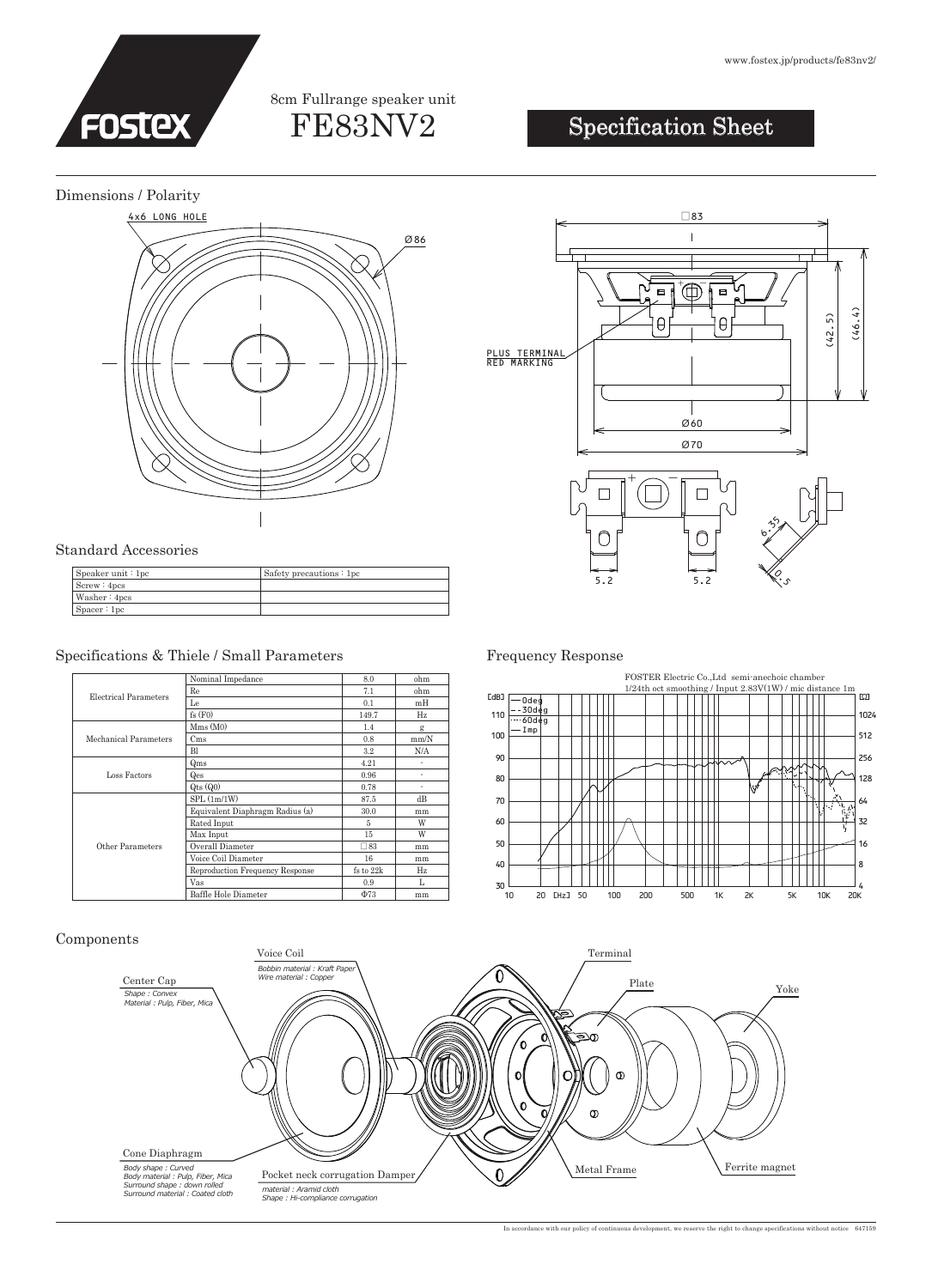### FE83NV2 8cm Fullrange speaker unit

#### www.fostex.jp/products/fe83nv2/

## Specification Sheet

#### Dimensions / Polarity



#### Standard Accessories

| S <sub>peaker unit</sub> : 1pc | Safety precautions: 1pc |
|--------------------------------|-------------------------|
| Screw: 4pcs                    |                         |
| Washer: 4pcs                   |                         |
| Space:1pc                      |                         |

### Specifications & Thiele / Small Parameters Frequency Response

| Electrical Parameters        | Nominal Impedance               | 8.0          | ohm  |
|------------------------------|---------------------------------|--------------|------|
|                              | Re                              | 7.1          | ohm  |
|                              | Le                              | 0.1          | mH   |
|                              | fs(F0)                          | 149.7        | Hz   |
| <b>Mechanical Parameters</b> | Mms(M0)                         | 1.4          | g    |
|                              | C <sub>ms</sub>                 | 0.8          | mm/N |
|                              | B1                              | 3.2          | N/A  |
| Loss Factors                 | Qms                             | 4.21         | ٠    |
|                              | Qes                             | 0.96         | ٠    |
|                              | $Q$ ts $(Q0)$                   | 0.78         | ٠    |
| Other Parameters             | SPL(1m/1W)                      | 87.5         | dB   |
|                              | Equivalent Diaphragm Radius (a) | 30.0         | mm   |
|                              | Rated Input                     | 5            | W    |
|                              | Max Input                       | 15           | W    |
|                              | Overall Diameter                | $\square 83$ | mm   |
|                              | Voice Coil Diameter             | 16           | mm   |
|                              | Reproduction Frequency Response | fs to 22k    | Hz.  |
|                              | Vas                             | 0.9          | L    |
|                              | Baffle Hole Diameter            | $\Phi$ 73    | mm   |





#### Components